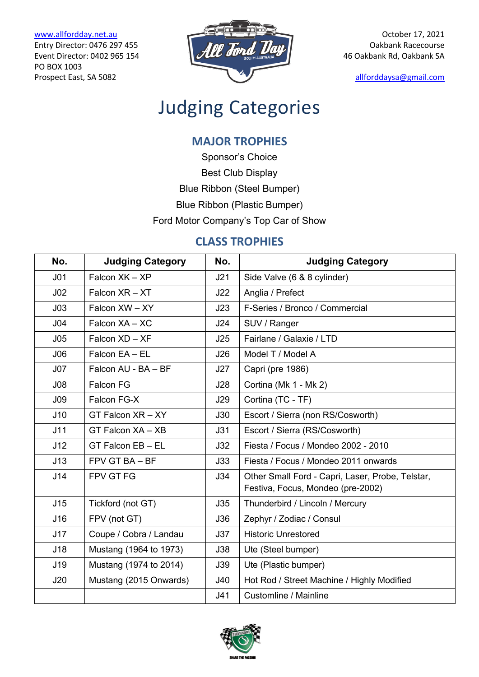PO BOX 1003



# Judging Categories

### **MAJOR TROPHIES**

Sponsor's Choice

Best Club Display

Blue Ribbon (Steel Bumper)

Blue Ribbon (Plastic Bumper)

Ford Motor Company's Top Car of Show

### **CLASS TROPHIES**

| No.             | <b>Judging Category</b> | No.        | <b>Judging Category</b>                                                               |  |
|-----------------|-------------------------|------------|---------------------------------------------------------------------------------------|--|
| J <sub>01</sub> | Falcon XK - XP          | J21        | Side Valve (6 & 8 cylinder)                                                           |  |
| J <sub>02</sub> | Falcon $XR - XT$        | J22        | Anglia / Prefect                                                                      |  |
| J <sub>03</sub> | Falcon XW - XY          | J23        | F-Series / Bronco / Commercial                                                        |  |
| J <sub>04</sub> | Falcon XA - XC          | J24        | SUV / Ranger                                                                          |  |
| J05             | Falcon XD - XF          | J25        | Fairlane / Galaxie / LTD                                                              |  |
| J06             | Falcon EA - EL          | J26        | Model T / Model A                                                                     |  |
| J07             | Falcon AU - BA - BF     | J27        | Capri (pre 1986)                                                                      |  |
| J <sub>08</sub> | <b>Falcon FG</b>        | J28        | Cortina (Mk 1 - Mk 2)                                                                 |  |
| J <sub>09</sub> | Falcon FG-X             | J29        | Cortina (TC - TF)                                                                     |  |
| J10             | GT Falcon XR - XY       | J30        | Escort / Sierra (non RS/Cosworth)                                                     |  |
| J11             | GT Falcon XA - XB       | J31        | Escort / Sierra (RS/Cosworth)                                                         |  |
| J12             | GT Falcon EB - EL       | J32        | Fiesta / Focus / Mondeo 2002 - 2010                                                   |  |
| J13             | FPV GT BA - BF          | J33        | Fiesta / Focus / Mondeo 2011 onwards                                                  |  |
| J14             | FPV GT FG               | J34        | Other Small Ford - Capri, Laser, Probe, Telstar,<br>Festiva, Focus, Mondeo (pre-2002) |  |
| J15             | Tickford (not GT)       | J35        | Thunderbird / Lincoln / Mercury                                                       |  |
| J16             | FPV (not GT)            | <b>J36</b> | Zephyr / Zodiac / Consul                                                              |  |
| J17             | Coupe / Cobra / Landau  | J37        | <b>Historic Unrestored</b>                                                            |  |
| J18             | Mustang (1964 to 1973)  | J38        | Ute (Steel bumper)                                                                    |  |
| J19             | Mustang (1974 to 2014)  | <b>J39</b> | Ute (Plastic bumper)                                                                  |  |
| J20             | Mustang (2015 Onwards)  | J40        | Hot Rod / Street Machine / Highly Modified                                            |  |
|                 |                         | J41        | Customline / Mainline                                                                 |  |